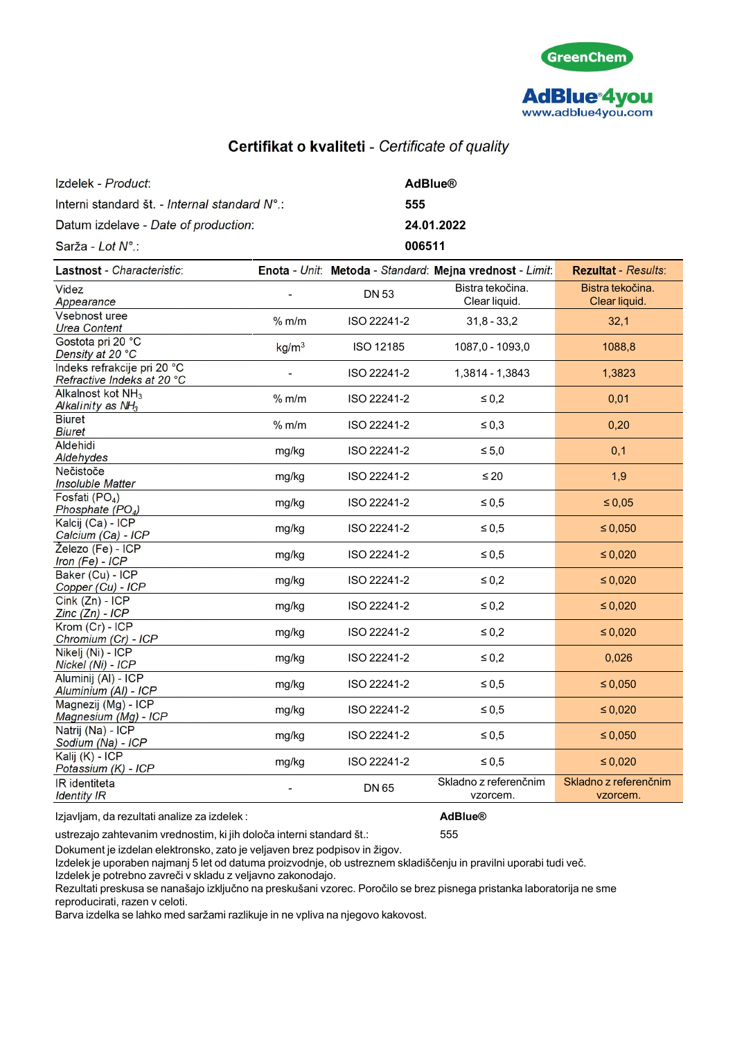



## Certifikat o kvaliteti - Certificate of quality

| Izdelek - Product:                                        |                   |              | <b>AdBlue®</b>                                           |                                   |
|-----------------------------------------------------------|-------------------|--------------|----------------------------------------------------------|-----------------------------------|
| Interni standard št. - Internal standard N°.:             |                   | 555          |                                                          |                                   |
| Datum izdelave - Date of production:                      |                   | 24.01.2022   |                                                          |                                   |
| Sarža - Lot N°.:                                          |                   | 006511       |                                                          |                                   |
| Lastnost - Characteristic:                                |                   |              | Enota - Unit: Metoda - Standard: Mejna vrednost - Limit: | <b>Rezultat - Results:</b>        |
| Videz<br>Appearance                                       |                   | <b>DN 53</b> | Bistra tekočina.<br>Clear liquid.                        | Bistra tekočina.<br>Clear liquid. |
| Vsebnost uree<br><b>Urea Content</b>                      | % <sub>m</sub> /m | ISO 22241-2  | $31,8 - 33,2$                                            | 32,1                              |
| Gostota pri 20 °C<br>Density at 20 °C                     | kg/m <sup>3</sup> | ISO 12185    | 1087,0 - 1093,0                                          | 1088,8                            |
| Indeks refrakcije pri 20 °C<br>Refractive Indeks at 20 °C |                   | ISO 22241-2  | 1,3814 - 1,3843                                          | 1,3823                            |
| Alkalnost kot NH <sub>3</sub><br>Alkalinity as $NH3$      | % <sub>m</sub> /m | ISO 22241-2  | $\leq 0.2$                                               | 0,01                              |
| <b>Biuret</b><br><b>Biuret</b>                            | % m/m             | ISO 22241-2  | $\leq 0,3$                                               | 0,20                              |
| <b>Aldehidi</b><br>Aldehydes                              | mg/kg             | ISO 22241-2  | $\leq 5.0$                                               | 0,1                               |
| Nečistoče<br>Insoluble Matter                             | mg/kg             | ISO 22241-2  | $\leq 20$                                                | 1,9                               |
| Fosfati (PO <sub>4</sub> )<br>Phosphate (PO4)             | mg/kg             | ISO 22241-2  | $\leq 0.5$                                               | $\leq 0.05$                       |
| Kalcij (Ca) - ICP<br>Calcium (Ca) - ICP                   | mg/kg             | ISO 22241-2  | $\leq 0.5$                                               | $\leq 0.050$                      |
| Železo (Fe) - ICP<br>Iron (Fe) - ICP                      | mg/kg             | ISO 22241-2  | $\leq 0.5$                                               | $\leq 0.020$                      |
| Baker (Cu) - ICP<br>Copper (Cu) - ICP                     | mg/kg             | ISO 22241-2  | $\leq 0.2$                                               | $\leq 0.020$                      |
| $Cink (Zn) - ICP$<br>$Zinc(Zn) - ICP$                     | mg/kg             | ISO 22241-2  | $\leq 0.2$                                               | $\leq 0,020$                      |
| Krom (Cr) - ICP<br>Chromium (Cr) - ICP                    | mg/kg             | ISO 22241-2  | $\leq 0,2$                                               | $\leq 0,020$                      |
| Nikelj (Ni) - ICP<br>Nickel (Ni) - ICP                    | mg/kg             | ISO 22241-2  | $\leq 0.2$                                               | 0,026                             |
| Aluminij (AI) - ICP<br>Aluminium (Al) - ICP               | mg/kg             | ISO 22241-2  | $\leq 0.5$                                               | $\leq 0,050$                      |
| Magnezij (Mg) - ICP<br>Magnesium (Mg) - ICP               | mg/kg             | ISO 22241-2  | $\leq 0.5$                                               | $\leq 0,020$                      |
| Natrij (Na) - ICP<br>Sodium (Na) - ICP                    | mg/kg             | ISO 22241-2  | $\leq 0,5$                                               | $\leq 0,050$                      |
| Kalij (K) - ICP<br>Potassium (K) - ICP                    | mg/kg             | ISO 22241-2  | $\leq 0.5$                                               | ≤ 0,020                           |
| IR identiteta<br><b>Identity IR</b>                       |                   | DN 65        | Skladno z referenčnim<br>vzorcem.                        | Skladno z referenčnim<br>vzorcem. |

Izjavljam, da rezultati analize za izdelek : **AdBlue®**

ustrezajo zahtevanim vrednostim, ki jih določa interni standard št.: 555

Dokument je izdelan elektronsko, zato je veljaven brez podpisov in žigov.

Izdelek je uporaben najmanj 5 let od datuma proizvodnje, ob ustreznem skladiščenju in pravilni uporabi tudi več. Izdelek je potrebno zavreči v skladu z veljavno zakonodajo.

Rezultati preskusa se nanašajo izključno na preskušani vzorec. Poročilo se brez pisnega pristanka laboratorija ne sme reproducirati, razen v celoti.

Barva izdelka se lahko med saržami razlikuje in ne vpliva na njegovo kakovost.